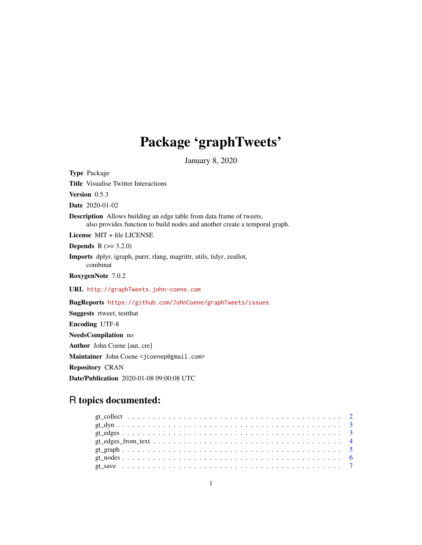## Package 'graphTweets'

January 8, 2020

<span id="page-0-0"></span>Type Package Title Visualise Twitter Interactions Version 0.5.3 Date 2020-01-02 Description Allows building an edge table from data frame of tweets, also provides function to build nodes and another create a temporal graph. License MIT + file LICENSE **Depends** R  $(>= 3.2.0)$ Imports dplyr, igraph, purrr, rlang, magrittr, utils, tidyr, zeallot, combinat RoxygenNote 7.0.2 URL <http://graphTweets.john-coene.com> BugReports <https://github.com/JohnCoene/graphTweets/issues> Suggests rtweet, testthat Encoding UTF-8 NeedsCompilation no Author John Coene [aut, cre] Maintainer John Coene <jcoenep@gmail.com>

Repository CRAN

Date/Publication 2020-01-08 09:00:08 UTC

### R topics documented: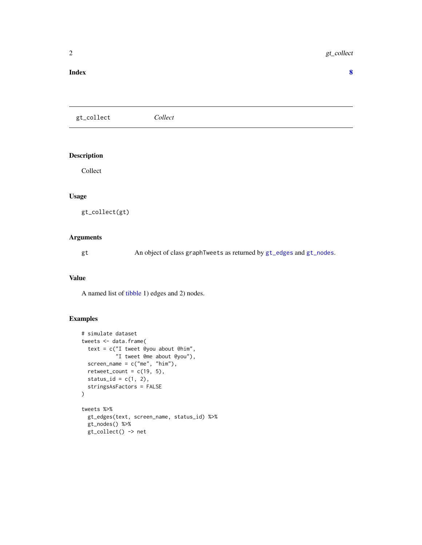#### <span id="page-1-0"></span>**Index** [8](#page-7-0) **8**

gt\_collect *Collect*

#### Description

Collect

#### Usage

gt\_collect(gt)

#### Arguments

gt An object of class graphTweets as returned by [gt\\_edges](#page-2-1) and [gt\\_nodes](#page-5-1).

#### Value

A named list of [tibble](#page-0-0) 1) edges and 2) nodes.

#### Examples

```
# simulate dataset
tweets <- data.frame(
  text = c("I tweet @you about @him",
           "I tweet @me about @you"),
  screen_name = c("me", "him"),retweet_count = c(19, 5),status_id = c(1, 2),
  stringsAsFactors = FALSE
)
tweets %>%
  gt_edges(text, screen_name, status_id) %>%
  gt_nodes() %>%
  gt_collect() -> net
```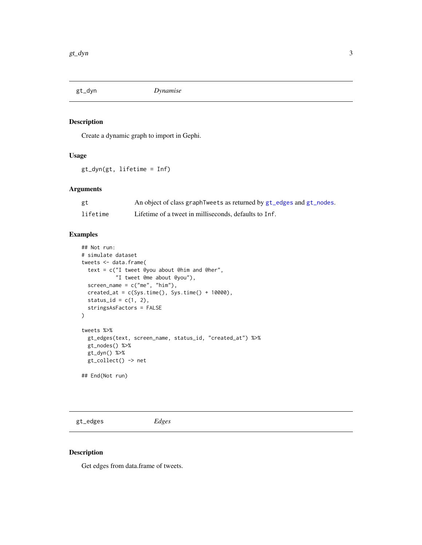<span id="page-2-0"></span>

#### Description

Create a dynamic graph to import in Gephi.

#### Usage

gt\_dyn(gt, lifetime = Inf)

#### Arguments

| gt       | An object of class graph Tweets as returned by gt_edges and gt_nodes. |
|----------|-----------------------------------------------------------------------|
| lifetime | Lifetime of a tweet in milliseconds, defaults to Inf.                 |

#### Examples

```
## Not run:
# simulate dataset
tweets <- data.frame(
 text = c("I tweet @you about @him and @her",
           "I tweet @me about @you"),
 screen_name = c("me", "him"),created_at = c(Sys.time(), Systeme() + 10000),status_id = c(1, 2),
  stringsAsFactors = FALSE
\mathcal{L}tweets %>%
  gt_edges(text, screen_name, status_id, "created_at") %>%
  gt_nodes() %>%
  gt_dyn() %>%
  gt_collect() -> net
```
## End(Not run)

<span id="page-2-1"></span>gt\_edges *Edges*

#### Description

Get edges from data.frame of tweets.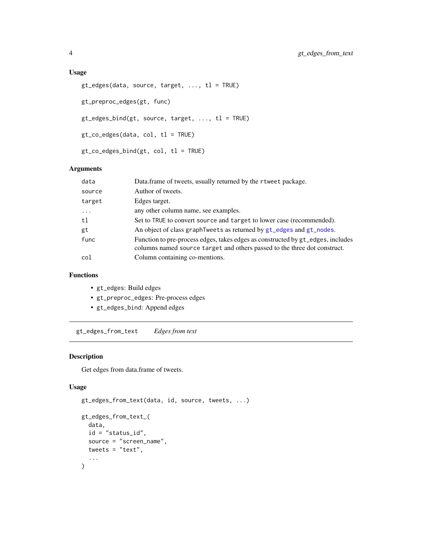#### <span id="page-3-0"></span>Usage

```
gt\_edges(data, source, target, ..., tl = TRUE)gt_preproc_edges(gt, func)
gt\_edges\_bind(gt, source, target, ..., tl = TRUE)gt_co_edges(data, col, tl = TRUE)
gt_co_edges_bind(gt, col, tl = TRUE)
```
#### Arguments

| data     | Data.frame of tweets, usually returned by the rtweet package.                                                                                                |
|----------|--------------------------------------------------------------------------------------------------------------------------------------------------------------|
| source   | Author of tweets.                                                                                                                                            |
| target   | Edges target.                                                                                                                                                |
| $\cdots$ | any other column name, see examples.                                                                                                                         |
| tl       | Set to TRUE to convert source and target to lower case (recommended).                                                                                        |
| gt       | An object of class graph Tweets as returned by gt_edges and gt_nodes.                                                                                        |
| func     | Function to pre-process edges, takes edges as constructed by gt_edges, includes<br>columns named source target and others passed to the three dot construct. |
| col      | Column containing co-mentions.                                                                                                                               |

#### Functions

- gt\_edges: Build edges
- gt\_preproc\_edges: Pre-process edges
- gt\_edges\_bind: Append edges

gt\_edges\_from\_text *Edges from text*

#### Description

Get edges from data.frame of tweets.

#### Usage

```
gt_edges_from_text(data, id, source, tweets, ...)
gt_edges_from_text_(
 data,
  id = "status_id",
  source = "screen_name",
 tweets = "text;
  ...
\mathcal{L}
```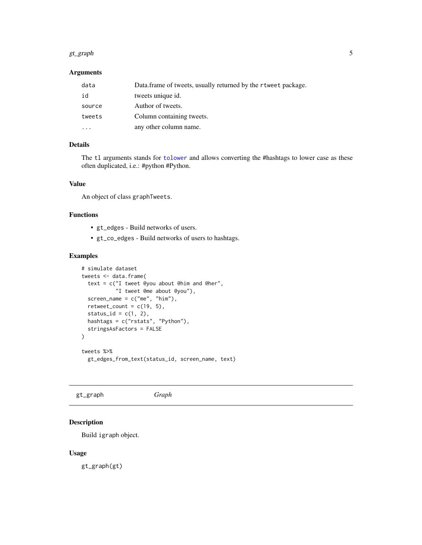#### <span id="page-4-0"></span>gt\_graph 5

#### Arguments

| data   | Data frame of tweets, usually returned by the r tweet package. |
|--------|----------------------------------------------------------------|
| id     | tweets unique id.                                              |
| source | Author of tweets.                                              |
| tweets | Column containing tweets.                                      |
|        | any other column name.                                         |

#### Details

The tl arguments stands for [tolower](#page-0-0) and allows converting the #hashtags to lower case as these often duplicated, i.e.: #python #Python.

#### Value

An object of class graphTweets.

#### Functions

- gt\_edges Build networks of users.
- gt\_co\_edges Build networks of users to hashtags.

#### Examples

```
# simulate dataset
tweets <- data.frame(
  text = c("I tweet @you about @him and @her",
           "I tweet @me about @you"),
  screen_name = c("me", "him"),
  retweet_count = c(19, 5),status_id = c(1, 2),
  hashtags = c("rstats", "Python"),
  stringsAsFactors = FALSE
\lambdatweets %>%
  gt_edges_from_text(status_id, screen_name, text)
```
gt\_graph *Graph*

#### Description

Build igraph object.

#### Usage

gt\_graph(gt)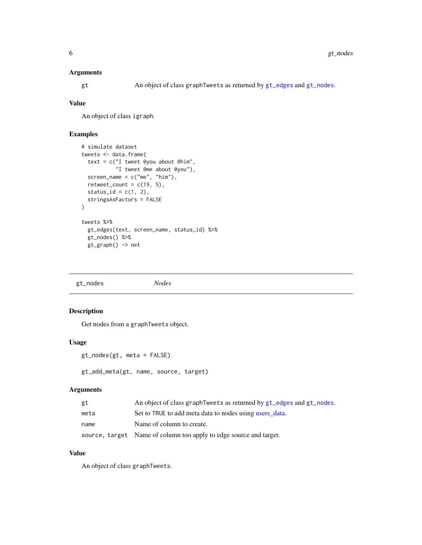#### <span id="page-5-0"></span>Arguments

gt An object of class graphTweets as returned by [gt\\_edges](#page-2-1) and [gt\\_nodes](#page-5-1).

#### Value

An object of class igraph.

#### Examples

```
# simulate dataset
tweets <- data.frame(
  text = c("I tweet @you about @him",
           "I tweet @me about @you"),
  screen_name = c("me", "him"),
  retweet_count = c(19, 5),status_id = c(1, 2),
  stringsAsFactors = FALSE
)
tweets %>%
  gt_edges(text, screen_name, status_id) %>%
  gt_nodes() %>%
  gt_graph() -> net
```
<span id="page-5-1"></span>

#### Description

Get nodes from a graphTweets object.

#### Usage

```
gt_nodes(gt, meta = FALSE)
```

```
gt_add_meta(gt, name, source, target)
```
#### Arguments

| gt   | An object of class graph Tweets as returned by gt_edges and gt_nodes. |
|------|-----------------------------------------------------------------------|
| meta | Set to TRUE to add meta data to nodes using users data.               |
| name | Name of column to create.                                             |
|      | source, target Name of column too apply to edge source and target.    |

#### Value

An object of class graphTweets.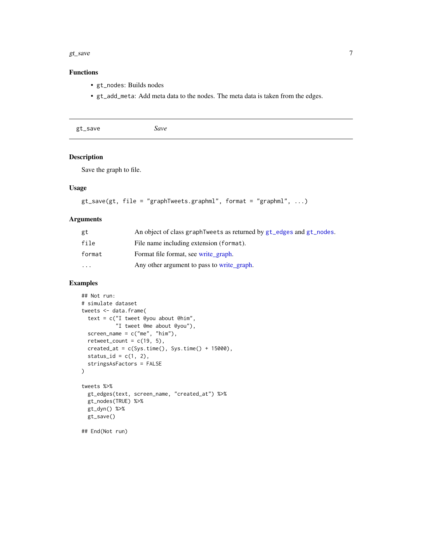#### <span id="page-6-0"></span>gt\_save  $\sigma$  7

#### Functions

- gt\_nodes: Builds nodes
- gt\_add\_meta: Add meta data to the nodes. The meta data is taken from the edges.

| gt_save | Save |  |  |
|---------|------|--|--|
|---------|------|--|--|

#### Description

Save the graph to file.

#### Usage

```
gt\_save(gt, file = "graphTweets.graphml", format = "graphml", ...)
```
#### Arguments

| gt     | An object of class graph Tweets as returned by gt_edges and gt_nodes. |
|--------|-----------------------------------------------------------------------|
| file   | File name including extension (format).                               |
| format | Format file format, see write graph.                                  |
| .      | Any other argument to pass to write_graph.                            |

#### Examples

```
## Not run:
# simulate dataset
tweets <- data.frame(
  text = c("I tweet @you about @him",
           "I tweet @me about @you"),
  screen_name = c("me", "him"),retweet_count = c(19, 5),created_at = c(Sys.time(), Systeme() + 15000),status_id = c(1, 2),
  stringsAsFactors = FALSE
\mathcal{L}tweets %>%
  gt_edges(text, screen_name, "created_at") %>%
  gt_nodes(TRUE) %>%
  gt_dyn() %>%
  gt_save()
```
## End(Not run)